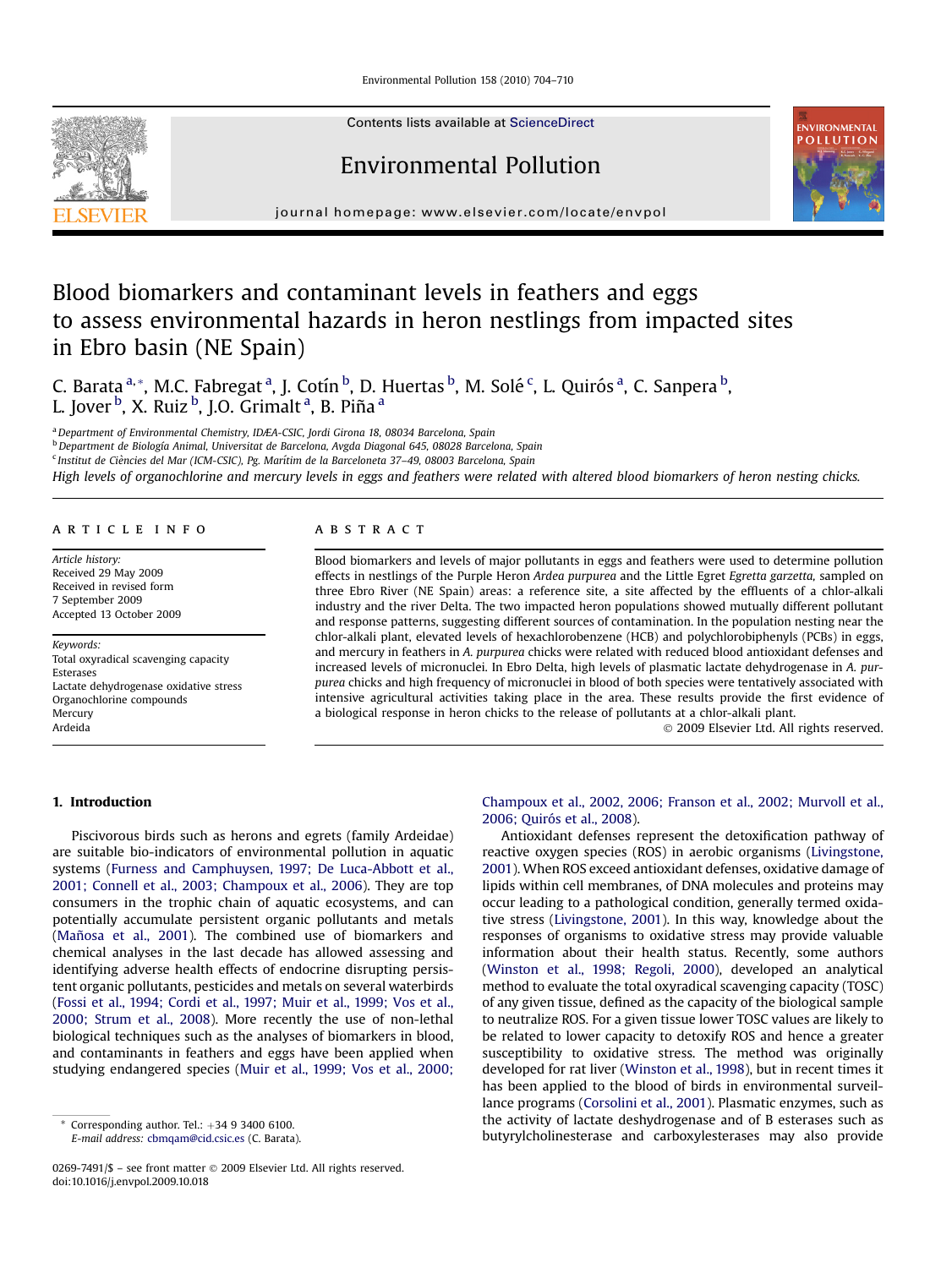Environmental Pollution 158 (2010) 704–710



# Environmental Pollution



journal homepage: [www.elsevier.com/locate/envpol](http://www.elsevier.com/locate/envpol)

# Blood biomarkers and contaminant levels in feathers and eggs to assess environmental hazards in heron nestlings from impacted sites in Ebro basin (NE Spain)

C. Barata <sup>a,</sup>\*, M.C. Fabregat <sup>a</sup>, J. Cotín <sup>b</sup>, D. Huertas <sup>b</sup>, M. Solé <sup>c</sup>, L. Quirós <sup>a</sup>, C. Sanpera <sup>b</sup>, L. Jover <sup>b</sup>, X. Ruiz <sup>b</sup>, J.O. Grimalt <sup>a</sup>, B. Piña <sup>a</sup>

a Department of Environmental Chemistry, IDÆA-CSIC, Jordi Girona 18, 08034 Barcelona, Spain

<sup>b</sup> Department de Biología Animal, Universitat de Barcelona, Avgda Diagonal 645, 08028 Barcelona, Spain

<sup>c</sup> Institut de Ciències del Mar (ICM-CSIC), Pg. Marítim de la Barceloneta 37-49, 08003 Barcelona, Spain

High levels of organochlorine and mercury levels in eggs and feathers were related with altered blood biomarkers of heron nesting chicks.

## article info

Article history: Received 29 May 2009 Received in revised form 7 September 2009 Accepted 13 October 2009

Keywords: Total oxyradical scavenging capacity Esterases Lactate dehydrogenase oxidative stress Organochlorine compounds Mercury Ardeida

# **ABSTRACT**

Blood biomarkers and levels of major pollutants in eggs and feathers were used to determine pollution effects in nestlings of the Purple Heron Ardea purpurea and the Little Egret Egretta garzetta, sampled on three Ebro River (NE Spain) areas: a reference site, a site affected by the effluents of a chlor-alkali industry and the river Delta. The two impacted heron populations showed mutually different pollutant and response patterns, suggesting different sources of contamination. In the population nesting near the chlor-alkali plant, elevated levels of hexachlorobenzene (HCB) and polychlorobiphenyls (PCBs) in eggs, and mercury in feathers in A. purpurea chicks were related with reduced blood antioxidant defenses and increased levels of micronuclei. In Ebro Delta, high levels of plasmatic lactate dehydrogenase in A. purpurea chicks and high frequency of micronuclei in blood of both species were tentatively associated with intensive agricultural activities taking place in the area. These results provide the first evidence of a biological response in heron chicks to the release of pollutants at a chlor-alkali plant.

- 2009 Elsevier Ltd. All rights reserved.

# 1. Introduction

Piscivorous birds such as herons and egrets (family Ardeidae) are suitable bio-indicators of environmental pollution in aquatic systems ([Furness and Camphuysen, 1997; De Luca-Abbott et al.,](#page-6-0) [2001; Connell et al., 2003; Champoux et al., 2006\)](#page-6-0). They are top consumers in the trophic chain of aquatic ecosystems, and can potentially accumulate persistent organic pollutants and metals (Mañosa et al., 2001). The combined use of biomarkers and chemical analyses in the last decade has allowed assessing and identifying adverse health effects of endocrine disrupting persistent organic pollutants, pesticides and metals on several waterbirds ([Fossi et al., 1994; Cordi et al., 1997; Muir et al., 1999; Vos et al.,](#page-6-0) [2000; Strum et al., 2008\)](#page-6-0). More recently the use of non-lethal biological techniques such as the analyses of biomarkers in blood, and contaminants in feathers and eggs have been applied when studying endangered species [\(Muir et al., 1999; Vos et al., 2000;](#page-6-0)

# [Champoux et al., 2002, 2006; Franson et al., 2002; Murvoll et al.,](#page-6-0) 2006; Quiró[s et al., 2008\)](#page-6-0).

Antioxidant defenses represent the detoxification pathway of reactive oxygen species (ROS) in aerobic organisms ([Livingstone,](#page-6-0) [2001\)](#page-6-0). When ROS exceed antioxidant defenses, oxidative damage of lipids within cell membranes, of DNA molecules and proteins may occur leading to a pathological condition, generally termed oxidative stress ([Livingstone, 2001](#page-6-0)). In this way, knowledge about the responses of organisms to oxidative stress may provide valuable information about their health status. Recently, some authors ([Winston et al., 1998; Regoli, 2000](#page-6-0)), developed an analytical method to evaluate the total oxyradical scavenging capacity (TOSC) of any given tissue, defined as the capacity of the biological sample to neutralize ROS. For a given tissue lower TOSC values are likely to be related to lower capacity to detoxify ROS and hence a greater susceptibility to oxidative stress. The method was originally developed for rat liver [\(Winston et al., 1998](#page-6-0)), but in recent times it has been applied to the blood of birds in environmental surveillance programs [\(Corsolini et al., 2001](#page-5-0)). Plasmatic enzymes, such as the activity of lactate deshydrogenase and of B esterases such as butyrylcholinesterase and carboxylesterases may also provide

Corresponding author. Tel.:  $+34$  9 3400 6100. E-mail address: [cbmqam@cid.csic.es](mailto:cbmqam@cid.csic.es) (C. Barata).

<sup>0269-7491/\$ –</sup> see front matter © 2009 Elsevier Ltd. All rights reserved. doi:10.1016/j.envpol.2009.10.018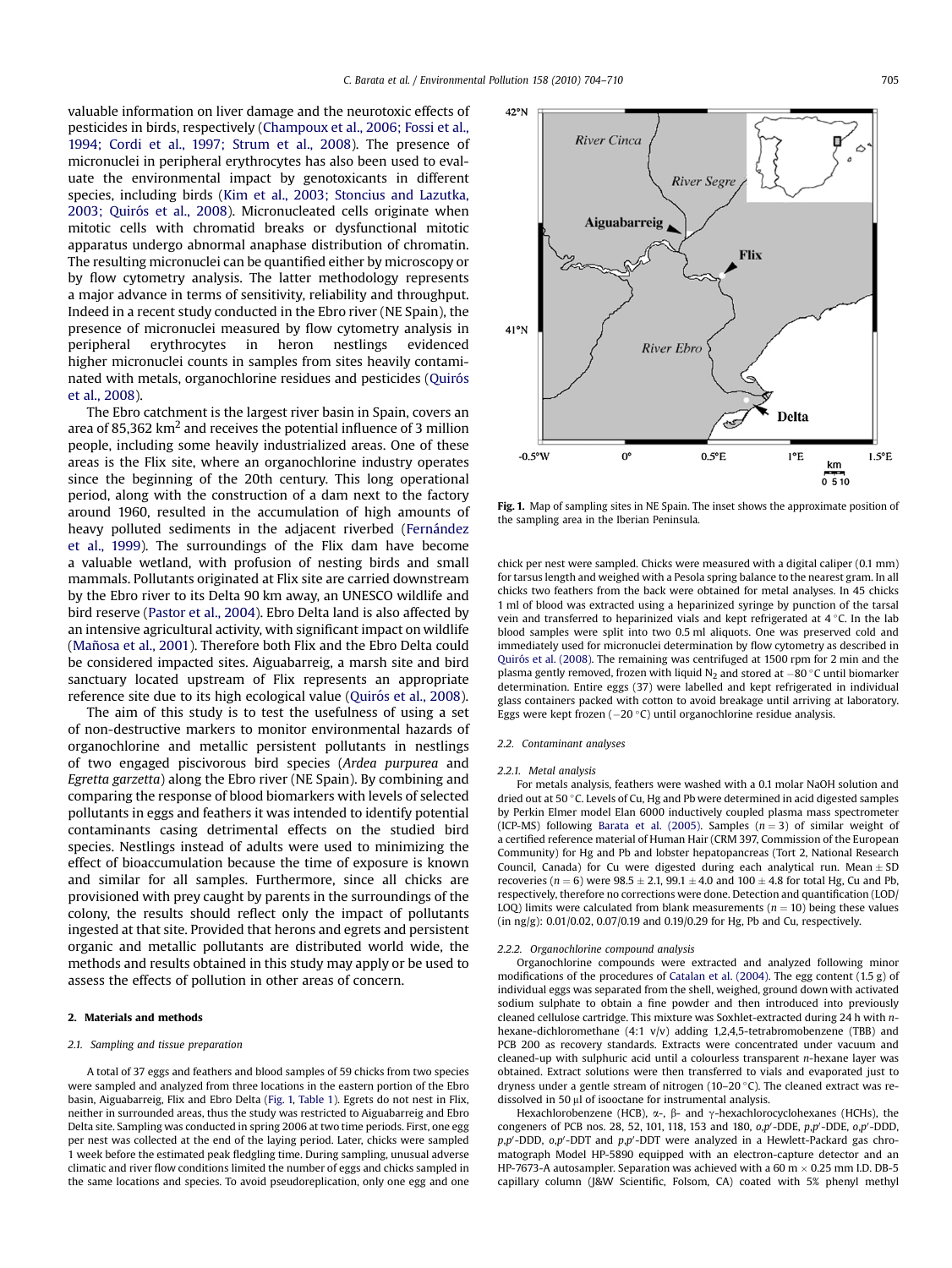valuable information on liver damage and the neurotoxic effects of pesticides in birds, respectively ([Champoux et al., 2006; Fossi et al.,](#page-5-0) [1994; Cordi et al., 1997; Strum et al., 2008\)](#page-5-0). The presence of micronuclei in peripheral erythrocytes has also been used to evaluate the environmental impact by genotoxicants in different species, including birds ([Kim et al., 2003; Stoncius and Lazutka,](#page-6-0) 2003; Quiró[s et al., 2008](#page-6-0)). Micronucleated cells originate when mitotic cells with chromatid breaks or dysfunctional mitotic apparatus undergo abnormal anaphase distribution of chromatin. The resulting micronuclei can be quantified either by microscopy or by flow cytometry analysis. The latter methodology represents a major advance in terms of sensitivity, reliability and throughput. Indeed in a recent study conducted in the Ebro river (NE Spain), the presence of micronuclei measured by flow cytometry analysis in peripheral erythrocytes in heron nestlings evidenced higher micronuclei counts in samples from sites heavily contaminated with metals, organochlorine residues and pesticides (Quirós [et al., 2008](#page-6-0)).

The Ebro catchment is the largest river basin in Spain, covers an area of 85,362  $km^2$  and receives the potential influence of 3 million people, including some heavily industrialized areas. One of these areas is the Flix site, where an organochlorine industry operates since the beginning of the 20th century. This long operational period, along with the construction of a dam next to the factory around 1960, resulted in the accumulation of high amounts of heavy polluted sediments in the adjacent riverbed (Fernández [et al., 1999\)](#page-6-0). The surroundings of the Flix dam have become a valuable wetland, with profusion of nesting birds and small mammals. Pollutants originated at Flix site are carried downstream by the Ebro river to its Delta 90 km away, an UNESCO wildlife and bird reserve ([Pastor et al., 2004\)](#page-6-0). Ebro Delta land is also affected by an intensive agricultural activity, with significant impact on wildlife (Mañosa et al., 2001). Therefore both Flix and the Ebro Delta could be considered impacted sites. Aiguabarreig, a marsh site and bird sanctuary located upstream of Flix represents an appropriate reference site due to its high ecological value (Quiró[s et al., 2008](#page-6-0)).

The aim of this study is to test the usefulness of using a set of non-destructive markers to monitor environmental hazards of organochlorine and metallic persistent pollutants in nestlings of two engaged piscivorous bird species (Ardea purpurea and Egretta garzetta) along the Ebro river (NE Spain). By combining and comparing the response of blood biomarkers with levels of selected pollutants in eggs and feathers it was intended to identify potential contaminants casing detrimental effects on the studied bird species. Nestlings instead of adults were used to minimizing the effect of bioaccumulation because the time of exposure is known and similar for all samples. Furthermore, since all chicks are provisioned with prey caught by parents in the surroundings of the colony, the results should reflect only the impact of pollutants ingested at that site. Provided that herons and egrets and persistent organic and metallic pollutants are distributed world wide, the methods and results obtained in this study may apply or be used to assess the effects of pollution in other areas of concern.

#### 2. Materials and methods

#### 2.1. Sampling and tissue preparation

A total of 37 eggs and feathers and blood samples of 59 chicks from two species were sampled and analyzed from three locations in the eastern portion of the Ebro basin, Aiguabarreig, Flix and Ebro Delta (Fig. 1, [Table 1\)](#page-2-0). Egrets do not nest in Flix, neither in surrounded areas, thus the study was restricted to Aiguabarreig and Ebro Delta site. Sampling was conducted in spring 2006 at two time periods. First, one egg per nest was collected at the end of the laying period. Later, chicks were sampled 1 week before the estimated peak fledgling time. During sampling, unusual adverse climatic and river flow conditions limited the number of eggs and chicks sampled in the same locations and species. To avoid pseudoreplication, only one egg and one



Fig. 1. Map of sampling sites in NE Spain. The inset shows the approximate position of the sampling area in the Iberian Peninsula.

chick per nest were sampled. Chicks were measured with a digital caliper (0.1 mm) for tarsus length and weighed with a Pesola spring balance to the nearest gram. In all chicks two feathers from the back were obtained for metal analyses. In 45 chicks 1 ml of blood was extracted using a heparinized syringe by punction of the tarsal vein and transferred to heparinized vials and kept refrigerated at  $4^{\circ}$ C. In the lab blood samples were split into two 0.5 ml aliquots. One was preserved cold and immediately used for micronuclei determination by flow cytometry as described in Quiró[s et al. \(2008\)](#page-6-0). The remaining was centrifuged at 1500 rpm for 2 min and the plasma gently removed, frozen with liquid  $N_2$  and stored at  $-80$  °C until biomarker determination. Entire eggs (37) were labelled and kept refrigerated in individual glass containers packed with cotton to avoid breakage until arriving at laboratory. Eggs were kept frozen  $(-20 °C)$  until organochlorine residue analysis.

#### 2.2. Contaminant analyses

#### 2.2.1. Metal analysis

For metals analysis, feathers were washed with a 0.1 molar NaOH solution and dried out at 50 °C. Levels of Cu, Hg and Pb were determined in acid digested samples by Perkin Elmer model Elan 6000 inductively coupled plasma mass spectrometer (ICP-MS) following [Barata et al. \(2005\)](#page-5-0). Samples  $(n = 3)$  of similar weight of a certified reference material of Human Hair (CRM 397, Commission of the European Community) for Hg and Pb and lobster hepatopancreas (Tort 2, National Research Council, Canada) for Cu were digested during each analytical run. Mean  $\pm$  SD recoveries ( $n = 6$ ) were 98.5  $\pm$  2.1, 99.1  $\pm$  4.0 and 100  $\pm$  4.8 for total Hg, Cu and Pb, respectively, therefore no corrections were done. Detection and quantification (LOD/ LOQ) limits were calculated from blank measurements ( $n = 10$ ) being these values (in ng/g): 0.01/0.02, 0.07/0.19 and 0.19/0.29 for Hg, Pb and Cu, respectively.

#### 2.2.2. Organochlorine compound analysis

Organochlorine compounds were extracted and analyzed following minor modifications of the procedures of [Catalan et al. \(2004\).](#page-5-0) The egg content (1.5 g) of individual eggs was separated from the shell, weighed, ground down with activated sodium sulphate to obtain a fine powder and then introduced into previously cleaned cellulose cartridge. This mixture was Soxhlet-extracted during 24 h with nhexane-dichloromethane (4:1 v/v) adding 1,2,4,5-tetrabromobenzene (TBB) and PCB 200 as recovery standards. Extracts were concentrated under vacuum and cleaned-up with sulphuric acid until a colourless transparent  $n$ -hexane layer was obtained. Extract solutions were then transferred to vials and evaporated just to dryness under a gentle stream of nitrogen ( $10-20$  °C). The cleaned extract was redissolved in 50  $\mu$ l of isooctane for instrumental analysis.

Hexachlorobenzene (HCB),  $\alpha$ -,  $\beta$ - and  $\gamma$ -hexachlorocyclohexanes (HCHs), the congeners of PCB nos. 28, 52, 101, 118, 153 and 180,  $o, p'$ -DDE,  $p, p'$ -DDE,  $o, p'$ -DDD p,p'-DDD, o,p'-DDT and p,p'-DDT were analyzed in a Hewlett-Packard gas chromatograph Model HP-5890 equipped with an electron-capture detector and an HP-7673-A autosampler. Separation was achieved with a 60 m  $\times$  0.25 mm I.D. DB-5 capillary column (J&W Scientific, Folsom, CA) coated with 5% phenyl methyl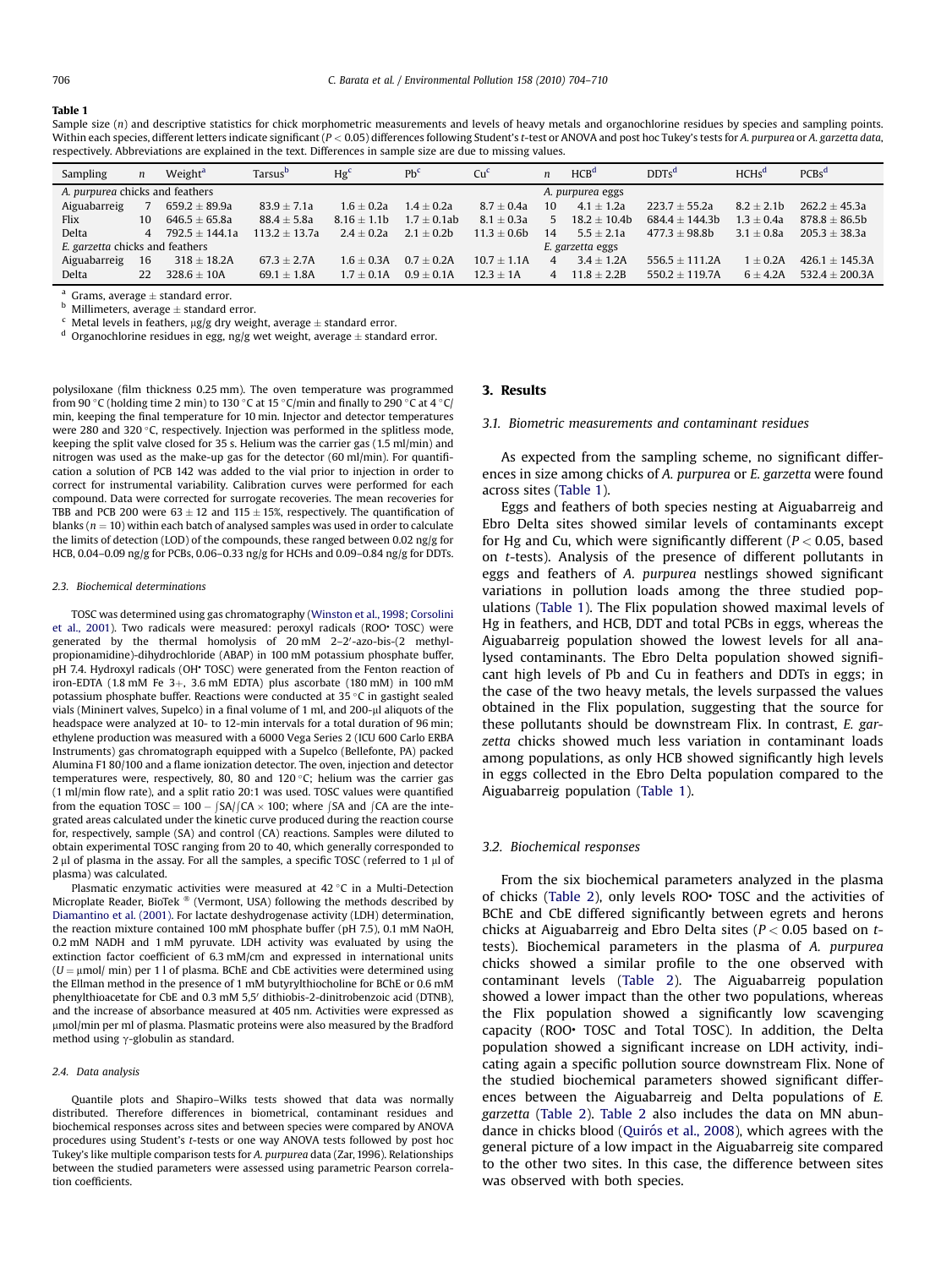#### <span id="page-2-0"></span>Table 1

Sample size (n) and descriptive statistics for chick morphometric measurements and levels of heavy metals and organochlorine residues by species and sampling points. Within each species, different letters indicate significant (P < 0.05) differences following Student's t-test or ANOVA and post hoc Tukey's tests for A. purpurea or A. garzetta data, respectively. Abbreviations are explained in the text. Differences in sample size are due to missing values.

| Sampling                        | n              | Weight <sup>a</sup> | Tarsus <sup>b</sup> | Hg <sup>c</sup> | $Pb^c$         | Cu <sup>6</sup>  | n              | HCB <sup>d</sup> | $DDTs^d$         | HCHS <sup>d</sup> | $PCBs^d$         |
|---------------------------------|----------------|---------------------|---------------------|-----------------|----------------|------------------|----------------|------------------|------------------|-------------------|------------------|
| A. purpurea chicks and feathers |                |                     |                     |                 |                | A. purpurea eggs |                |                  |                  |                   |                  |
| Aiguabarreig                    |                | $659.2 \pm 89.9a$   | $83.9 \pm 7.1a$     | $1.6 + 0.2a$    | $1.4 + 0.2a$   | $8.7 + 0.4a$     | 10             | $4.1 \pm 1.2a$   | $223.7 + 55.2a$  | $8.2 + 2.1b$      | $262.2 + 45.3a$  |
| Flix                            | 10             | $646.5 + 65.8a$     | $88.4 + 5.8a$       | $8.16 + 1.1b$   | $1.7 + 0.1$ ab | $8.1 + 0.3a$     | 5.             | $18.2 + 10.4b$   | $684.4 + 144.3b$ | $1.3 \pm 0.4a$    | $878.8 + 86.5b$  |
| <b>Delta</b>                    | $\overline{A}$ | $792.5 + 144.1a$    | $113.2 + 13.7a$     | $2.4 + 0.2a$    | $2.1 + 0.2b$   | $11.3 + 0.6b$    | 14             | $5.5 + 2.1a$     | $477.3 + 98.8b$  | $3.1 + 0.8a$      | $205.3 + 38.3a$  |
| E. garzetta chicks and feathers |                |                     |                     |                 |                | E. garzetta eggs |                |                  |                  |                   |                  |
| Aiguabarreig                    | 16             | $318 \pm 18.2$ A    | $67.3 + 2.7A$       | $1.6 + 0.3A$    | $0.7 + 0.2A$   | $10.7 + 1.1A$    |                | $3.4 + 1.2A$     | $556.5 + 111.2A$ | $1 + 0.2A$        | $426.1 + 145.3A$ |
| Delta                           | 22             | $328.6 + 10A$       | $69.1 + 1.8A$       | $1.7 + 0.1A$    | $0.9 + 0.1A$   | $12.3 + 1A$      | $\overline{4}$ | $11.8 + 2.2B$    | $550.2 + 119.7A$ | $6 + 4.2A$        | $532.4 + 200.3A$ |

 $a$  Grams, average  $\pm$  standard error.

 $<sup>b</sup>$  Millimeters, average  $\pm$  standard error.</sup>

Metal levels in feathers,  $\mu$ g/g dry weight, average  $\pm$  standard error.

<sup>d</sup> Organochlorine residues in egg, ng/g wet weight, average  $\pm$  standard error.

polysiloxane (film thickness 0.25 mm). The oven temperature was programmed from 90 °C (holding time 2 min) to 130 °C at 15 °C/min and finally to 290 °C at 4 °C/ min, keeping the final temperature for 10 min. Injector and detector temperatures were 280 and 320 °C, respectively. Injection was performed in the splitless mode, keeping the split valve closed for 35 s. Helium was the carrier gas (1.5 ml/min) and nitrogen was used as the make-up gas for the detector (60 ml/min). For quantification a solution of PCB 142 was added to the vial prior to injection in order to correct for instrumental variability. Calibration curves were performed for each compound. Data were corrected for surrogate recoveries. The mean recoveries for TBB and PCB 200 were  $63 + 12$  and  $115 + 15\%$  respectively. The quantification of blanks ( $n = 10$ ) within each batch of analysed samples was used in order to calculate the limits of detection (LOD) of the compounds, these ranged between 0.02 ng/g for HCB, 0.04–0.09 ng/g for PCBs, 0.06–0.33 ng/g for HCHs and 0.09–0.84 ng/g for DDTs.

#### 2.3. Biochemical determinations

TOSC was determined using gas chromatography ([Winston et al., 1998](#page-6-0); [Corsolini](#page-5-0) [et al., 2001](#page-5-0)). Two radicals were measured: peroxyl radicals (ROO\* TOSC) were generated by the thermal homolysis of 20 mM 2-2'-azo-bis-(2 methylpropionamidine)-dihydrochloride (ABAP) in 100 mM potassium phosphate buffer, pH 7.4. Hydroxyl radicals (OH<sup>+</sup> TOSC) were generated from the Fenton reaction of iron-EDTA (1.8 mM Fe  $3+$ , 3.6 mM EDTA) plus ascorbate (180 mM) in 100 mM potassium phosphate buffer. Reactions were conducted at 35  $\degree$ C in gastight sealed vials (Mininert valves, Supelco) in a final volume of 1 ml, and 200-µl aliquots of the headspace were analyzed at 10- to 12-min intervals for a total duration of 96 min; ethylene production was measured with a 6000 Vega Series 2 (ICU 600 Carlo ERBA Instruments) gas chromatograph equipped with a Supelco (Bellefonte, PA) packed Alumina F1 80/100 and a flame ionization detector. The oven, injection and detector temperatures were, respectively, 80, 80 and  $120 °C$ ; helium was the carrier gas (1 ml/min flow rate), and a split ratio 20:1 was used. TOSC values were quantified from the equation  $TOSC = 100 - |SA| (CA \times 100)$ ; where  $|SA$  and  $|CA$  are the integrated areas calculated under the kinetic curve produced during the reaction course for, respectively, sample (SA) and control (CA) reactions. Samples were diluted to obtain experimental TOSC ranging from 20 to 40, which generally corresponded to  $2 \mu$ l of plasma in the assay. For all the samples, a specific TOSC (referred to 1  $\mu$ l of plasma) was calculated.

Plasmatic enzymatic activities were measured at  $42^{\circ}$ C in a Multi-Detection Microplate Reader, BioTek ® (Vermont, USA) following the methods described by [Diamantino et al. \(2001\)](#page-6-0). For lactate deshydrogenase activity (LDH) determination, the reaction mixture contained 100 mM phosphate buffer (pH 7.5), 0.1 mM NaOH, 0.2 mM NADH and 1 mM pyruvate. LDH activity was evaluated by using the extinction factor coefficient of 6.3 mM/cm and expressed in international units  $(U = \mu \text{mol}/\text{min})$  per 1 l of plasma. BChE and CbE activities were determined using the Ellman method in the presence of 1 mM butyrylthiocholine for BChE or 0.6 mM phenylthioacetate for CbE and 0.3 mM 5,5' dithiobis-2-dinitrobenzoic acid (DTNB), and the increase of absorbance measured at 405 nm. Activities were expressed as mmol/min per ml of plasma. Plasmatic proteins were also measured by the Bradford method using  $\gamma$ -globulin as standard.

#### 2.4. Data analysis

Quantile plots and Shapiro–Wilks tests showed that data was normally distributed. Therefore differences in biometrical, contaminant residues and biochemical responses across sites and between species were compared by ANOVA procedures using Student's t-tests or one way ANOVA tests followed by post hoc Tukey's like multiple comparison tests for A. purpurea data (Zar, 1996). Relationships between the studied parameters were assessed using parametric Pearson correlation coefficients.

#### 3. Results

## 3.1. Biometric measurements and contaminant residues

As expected from the sampling scheme, no significant differences in size among chicks of A. purpurea or E. garzetta were found across sites (Table 1).

Eggs and feathers of both species nesting at Aiguabarreig and Ebro Delta sites showed similar levels of contaminants except for Hg and Cu, which were significantly different ( $P < 0.05$ , based on t-tests). Analysis of the presence of different pollutants in eggs and feathers of A. purpurea nestlings showed significant variations in pollution loads among the three studied populations (Table 1). The Flix population showed maximal levels of Hg in feathers, and HCB, DDT and total PCBs in eggs, whereas the Aiguabarreig population showed the lowest levels for all analysed contaminants. The Ebro Delta population showed significant high levels of Pb and Cu in feathers and DDTs in eggs; in the case of the two heavy metals, the levels surpassed the values obtained in the Flix population, suggesting that the source for these pollutants should be downstream Flix. In contrast, E. garzetta chicks showed much less variation in contaminant loads among populations, as only HCB showed significantly high levels in eggs collected in the Ebro Delta population compared to the Aiguabarreig population (Table 1).

### 3.2. Biochemical responses

From the six biochemical parameters analyzed in the plasma of chicks ([Table 2](#page-3-0)), only levels ROO<sup>+</sup> TOSC and the activities of BChE and CbE differed significantly between egrets and herons chicks at Aiguabarreig and Ebro Delta sites ( $P < 0.05$  based on ttests). Biochemical parameters in the plasma of A. purpurea chicks showed a similar profile to the one observed with contaminant levels ([Table 2\)](#page-3-0). The Aiguabarreig population showed a lower impact than the other two populations, whereas the Flix population showed a significantly low scavenging capacity (ROO• TOSC and Total TOSC). In addition, the Delta population showed a significant increase on LDH activity, indicating again a specific pollution source downstream Flix. None of the studied biochemical parameters showed significant differences between the Aiguabarreig and Delta populations of E. garzetta [\(Table 2](#page-3-0)). [Table 2](#page-3-0) also includes the data on MN abundance in chicks blood (Quiró[s et al., 2008\)](#page-6-0), which agrees with the general picture of a low impact in the Aiguabarreig site compared to the other two sites. In this case, the difference between sites was observed with both species.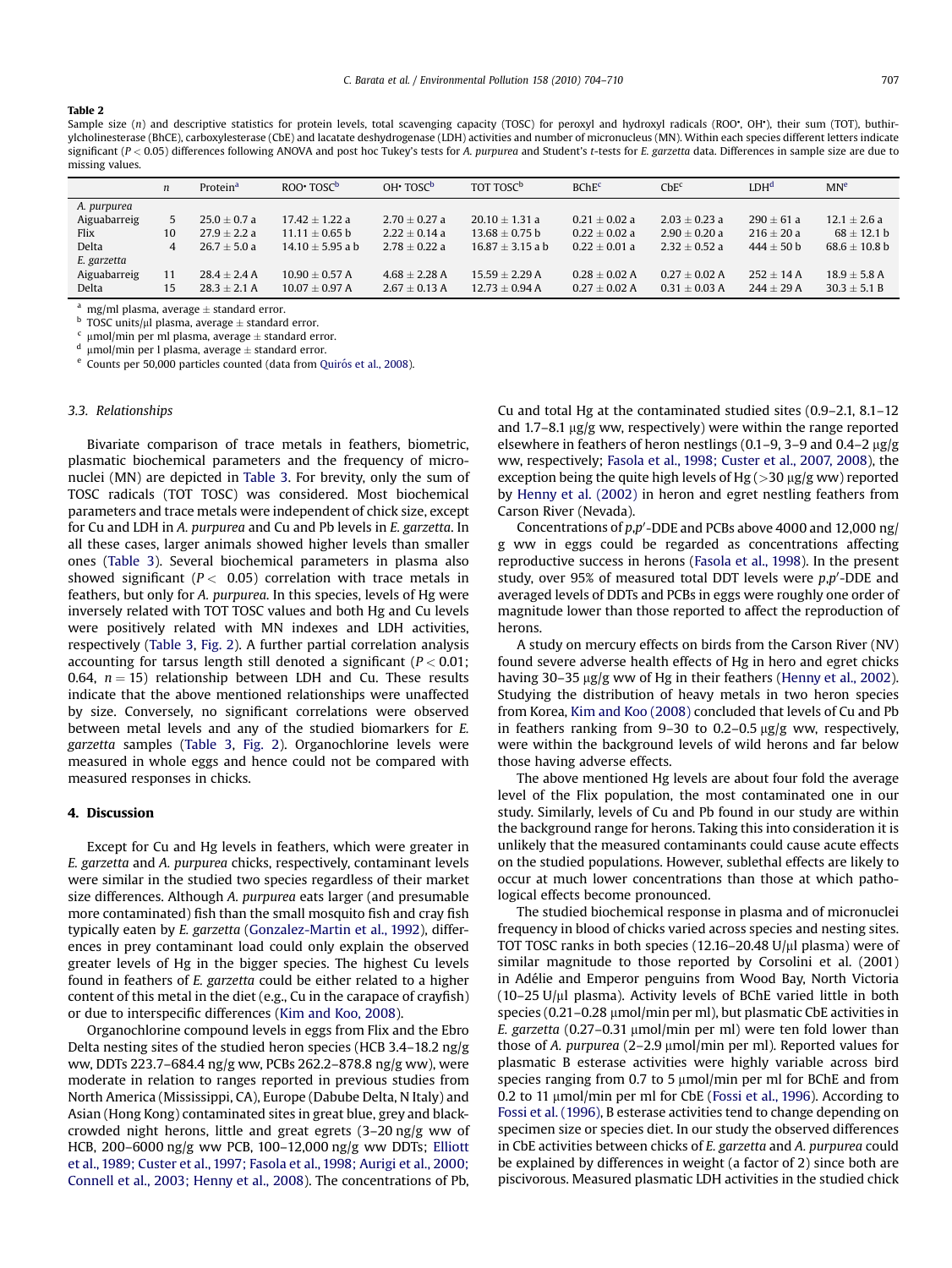### <span id="page-3-0"></span>Table 2

Sample size (n) and descriptive statistics for protein levels, total scavenging capacity (TOSC) for peroxyl and hydroxyl radicals (ROO , OH ), their sum (TOT), buthirylcholinesterase (BhCE), carboxylesterase (CbE) and lacatate deshydrogenase (LDH) activities and number of micronucleus (MN). Within each species different letters indicate significant  $(P < 0.05)$  differences following ANOVA and post hoc Tukey's tests for A. purpurea and Student's t-tests for E. garzetta data. Differences in sample size are due to missing values.

|              | $\boldsymbol{n}$ | Protein <sup>a</sup> | ROO TOSC <sup>b</sup> | $OH+ TOSCb$       | TOT TOSC <sup>b</sup> | BChE <sup>c</sup> | Che <sup>c</sup>  | LDH <sup>d</sup> | MN <sup>e</sup>  |
|--------------|------------------|----------------------|-----------------------|-------------------|-----------------------|-------------------|-------------------|------------------|------------------|
| A. purpurea  |                  |                      |                       |                   |                       |                   |                   |                  |                  |
| Aiguabarreig |                  | $25.0 + 0.7 a$       | $17.42 \pm 1.22$ a    | $2.70 \pm 0.27$ a | $20.10 + 1.31 a$      | $0.21 \pm 0.02$ a | $2.03 + 0.23 a$   | $290 + 61a$      | $12.1 + 2.6a$    |
| Flix         | 10               | $27.9 + 2.2 a$       | $11.11 + 0.65$ b      | $2.22 \pm 0.14$ a | $13.68 + 0.75$ b      | $0.22 \pm 0.02$ a | $2.90 \pm 0.20 a$ | $216 + 20a$      | $68 \pm 12.1$ b  |
| Delta        | 4                | $26.7 + 5.0a$        | $14.10 + 5.95$ a b    | $2.78 + 0.22 a$   | $16.87 + 3.15$ a b    | $0.22 + 0.01$ a   | $2.32 + 0.52 a$   | $444 + 50 h$     | $68.6 + 10.8$ b  |
| E. garzetta  |                  |                      |                       |                   |                       |                   |                   |                  |                  |
| Aiguabarreig | 11               | $28.4 \pm 2.4 A$     | $10.90 + 0.57$ A      | $4.68 + 2.28$ A   | $15.59 + 2.29$ A      | $0.28 + 0.02$ A   | $0.27 + 0.02$ A   | $252 + 14A$      | $18.9 \pm 5.8$ A |
| <b>Delta</b> | 15               | $28.3 + 2.1$ A       | $10.07 + 0.97$ A      | $2.67 \pm 0.13$ A | $12.73 + 0.94$ A      | $0.27 \pm 0.02$ A | $0.31 + 0.03$ A   | $244 + 29A$      | $30.3 \pm 5.1 B$ |

<sup>a</sup> mg/ml plasma, average  $\pm$  standard error.

TOSC units/ $\mu$ l plasma, average  $\pm$  standard error.

<sup>c</sup>  $\mu$ mol/min per ml plasma, average  $\pm$  standard error.

 $\mu$ mol/min per l plasma, average  $\pm$  standard error.

Counts per 50,000 particles counted (data from Quiró[s et al., 2008\)](#page-6-0).

## 3.3. Relationships

Bivariate comparison of trace metals in feathers, biometric, plasmatic biochemical parameters and the frequency of micronuclei (MN) are depicted in [Table 3](#page-4-0). For brevity, only the sum of TOSC radicals (TOT TOSC) was considered. Most biochemical parameters and trace metals were independent of chick size, except for Cu and LDH in A. purpurea and Cu and Pb levels in E. garzetta. In all these cases, larger animals showed higher levels than smaller ones ([Table 3\)](#page-4-0). Several biochemical parameters in plasma also showed significant ( $P < 0.05$ ) correlation with trace metals in feathers, but only for A. purpurea. In this species, levels of Hg were inversely related with TOT TOSC values and both Hg and Cu levels were positively related with MN indexes and LDH activities, respectively ([Table 3](#page-4-0), [Fig. 2](#page-4-0)). A further partial correlation analysis accounting for tarsus length still denoted a significant ( $P < 0.01$ ; 0.64,  $n = 15$ ) relationship between LDH and Cu. These results indicate that the above mentioned relationships were unaffected by size. Conversely, no significant correlations were observed between metal levels and any of the studied biomarkers for E. garzetta samples ([Table 3](#page-4-0), [Fig. 2\)](#page-4-0). Organochlorine levels were measured in whole eggs and hence could not be compared with measured responses in chicks.

#### 4. Discussion

Except for Cu and Hg levels in feathers, which were greater in E. garzetta and A. purpurea chicks, respectively, contaminant levels were similar in the studied two species regardless of their market size differences. Although A. purpurea eats larger (and presumable more contaminated) fish than the small mosquito fish and cray fish typically eaten by E. garzetta [\(Gonzalez-Martin et al., 1992\)](#page-6-0), differences in prey contaminant load could only explain the observed greater levels of Hg in the bigger species. The highest Cu levels found in feathers of E. garzetta could be either related to a higher content of this metal in the diet (e.g., Cu in the carapace of crayfish) or due to interspecific differences [\(Kim and Koo, 2008\)](#page-6-0).

Organochlorine compound levels in eggs from Flix and the Ebro Delta nesting sites of the studied heron species (HCB 3.4–18.2 ng/g ww, DDTs 223.7–684.4 ng/g ww, PCBs 262.2–878.8 ng/g ww), were moderate in relation to ranges reported in previous studies from North America (Mississippi, CA), Europe (Dabube Delta, N Italy) and Asian (Hong Kong) contaminated sites in great blue, grey and blackcrowded night herons, little and great egrets (3–20 ng/g ww of HCB, 200–6000 ng/g ww PCB, 100–12,000 ng/g ww DDTs; [Elliott](#page-6-0) [et al., 1989; Custer et al., 1997; Fasola et al., 1998; Aurigi et al., 2000;](#page-6-0) [Connell et al., 2003; Henny et al., 2008](#page-6-0)). The concentrations of Pb, Cu and total Hg at the contaminated studied sites (0.9–2.1, 8.1–12 and 1.7–8.1  $\mu$ g/g ww, respectively) were within the range reported elsewhere in feathers of heron nestlings  $(0.1-9, 3-9, 0.4-2, \mu g/g)$ ww, respectively; [Fasola et al., 1998; Custer et al., 2007, 2008\)](#page-6-0), the exception being the quite high levels of Hg ( $>$ 30 µg/g ww) reported by [Henny et al. \(2002\)](#page-6-0) in heron and egret nestling feathers from Carson River (Nevada).

Concentrations of  $p$ , $p'$ -DDE and PCBs above 4000 and 12,000 ng/ g ww in eggs could be regarded as concentrations affecting reproductive success in herons ([Fasola et al., 1998](#page-6-0)). In the present study, over 95% of measured total DDT levels were  $p, p'$ -DDE and averaged levels of DDTs and PCBs in eggs were roughly one order of magnitude lower than those reported to affect the reproduction of herons.

A study on mercury effects on birds from the Carson River (NV) found severe adverse health effects of Hg in hero and egret chicks having 30–35 µg/g ww of Hg in their feathers [\(Henny et al., 2002\)](#page-6-0). Studying the distribution of heavy metals in two heron species from Korea, [Kim and Koo \(2008\)](#page-6-0) concluded that levels of Cu and Pb in feathers ranking from 9-30 to 0.2-0.5  $\mu$ g/g ww, respectively, were within the background levels of wild herons and far below those having adverse effects.

The above mentioned Hg levels are about four fold the average level of the Flix population, the most contaminated one in our study. Similarly, levels of Cu and Pb found in our study are within the background range for herons. Taking this into consideration it is unlikely that the measured contaminants could cause acute effects on the studied populations. However, sublethal effects are likely to occur at much lower concentrations than those at which pathological effects become pronounced.

The studied biochemical response in plasma and of micronuclei frequency in blood of chicks varied across species and nesting sites. TOT TOSC ranks in both species (12.16–20.48 U/ $\mu$ l plasma) were of similar magnitude to those reported by Corsolini et al. (2001) in Adélie and Emperor penguins from Wood Bay, North Victoria  $(10-25 \text{ U/}\mu l \text{ plasma})$ . Activity levels of BChE varied little in both species  $(0.21-0.28 \mu \text{mol/min per ml})$ , but plasmatic CbE activities in E. garzetta  $(0.27-0.31 \mu \mathrm{mol/min})$  were ten fold lower than those of A. purpurea  $(2-2.9 \mu \text{mol/min})$  per ml). Reported values for plasmatic B esterase activities were highly variable across bird species ranging from 0.7 to 5  $\mu$ mol/min per ml for BChE and from 0.2 to 11  $\mu$ mol/min per ml for CbE ([Fossi et al., 1996](#page-6-0)). According to [Fossi et al. \(1996\),](#page-6-0) B esterase activities tend to change depending on specimen size or species diet. In our study the observed differences in CbE activities between chicks of E. garzetta and A. purpurea could be explained by differences in weight (a factor of 2) since both are piscivorous. Measured plasmatic LDH activities in the studied chick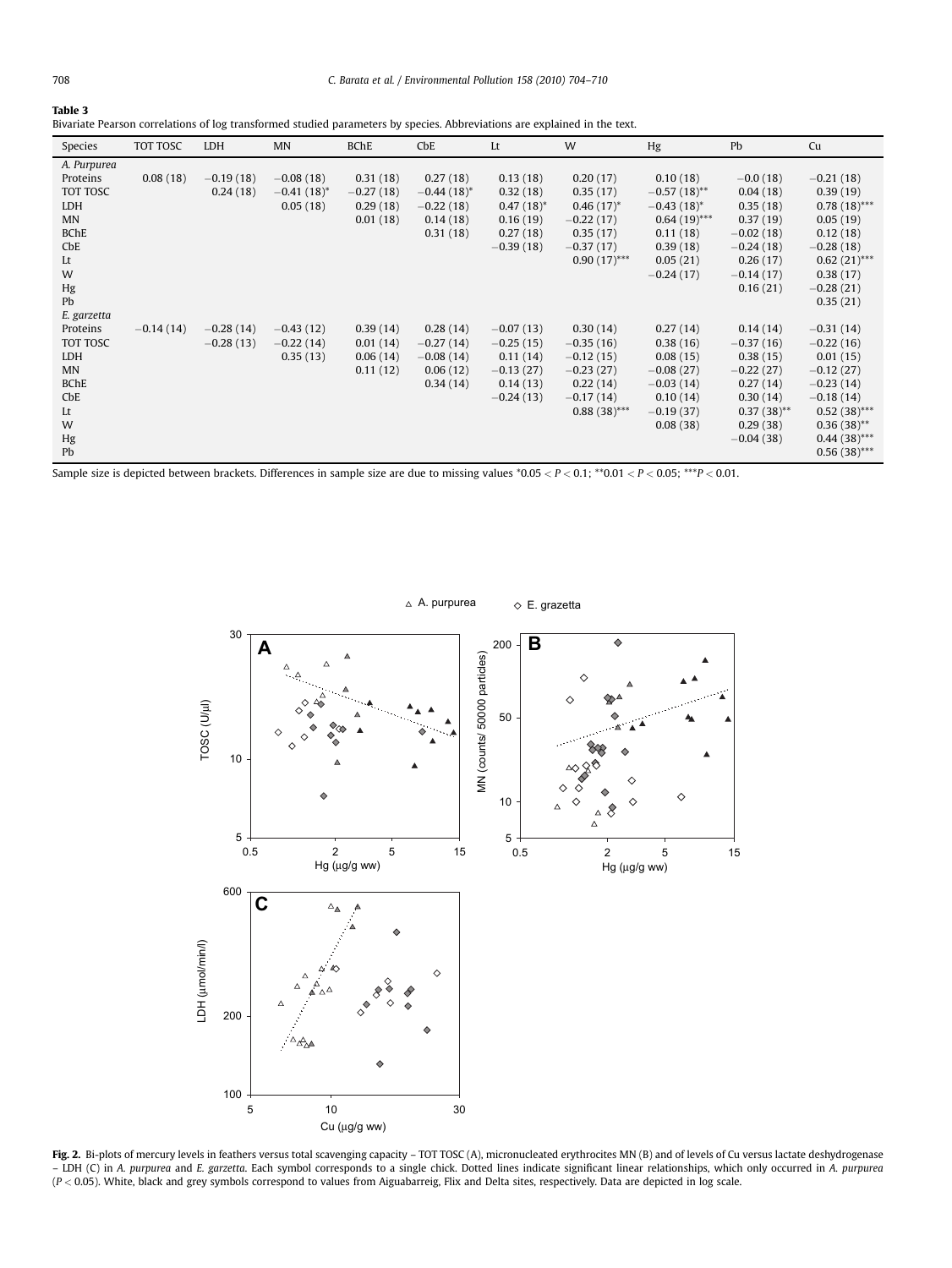<span id="page-4-0"></span>

| . .<br>. .<br>× | ۰. | $\sim$ |  |
|-----------------|----|--------|--|

Bivariate Pearson correlations of log transformed studied parameters by species. Abbreviations are explained in the text.

| Species                                                                                              | TOT TOSC    | LDH                        | <b>MN</b>                                | <b>BChE</b>                                     | $C$ <sub>b</sub> E                                               | Lt                                                                               | W                                                                                                  | Hg                                                                                                                 | Pb                                                                                                                     | Cu                                                                                                                                                         |
|------------------------------------------------------------------------------------------------------|-------------|----------------------------|------------------------------------------|-------------------------------------------------|------------------------------------------------------------------|----------------------------------------------------------------------------------|----------------------------------------------------------------------------------------------------|--------------------------------------------------------------------------------------------------------------------|------------------------------------------------------------------------------------------------------------------------|------------------------------------------------------------------------------------------------------------------------------------------------------------|
| A. Purpurea<br>Proteins<br>TOT TOSC<br>LDH<br><b>MN</b><br><b>BChE</b><br>CbE<br>Lt<br>W<br>Hg<br>Pb | 0.08(18)    | $-0.19(18)$<br>0.24(18)    | $-0.08(18)$<br>$-0.41(18)^*$<br>0.05(18) | 0.31(18)<br>$-0.27(18)$<br>0.29(18)<br>0.01(18) | 0.27(18)<br>$-0.44(18)^*$<br>$-0.22(18)$<br>0.14(18)<br>0.31(18) | 0.13(18)<br>0.32(18)<br>$0.47(18)^*$<br>0.16(19)<br>0.27(18)<br>$-0.39(18)$      | 0.20(17)<br>0.35(17)<br>$0.46(17)^*$<br>$-0.22(17)$<br>0.35(17)<br>$-0.37(17)$<br>$0.90(17)$ ***   | 0.10(18)<br>$-0.57(18)$ **<br>$-0.43(18)^{*}$<br>$0.64(19)$ ***<br>0.11(18)<br>0.39(18)<br>0.05(21)<br>$-0.24(17)$ | $-0.0(18)$<br>0.04(18)<br>0.35(18)<br>0.37(19)<br>$-0.02(18)$<br>$-0.24(18)$<br>0.26(17)<br>$-0.14(17)$<br>0.16(21)    | $-0.21(18)$<br>0.39(19)<br>$0.78(18)$ ***<br>0.05(19)<br>0.12(18)<br>$-0.28(18)$<br>$0.62(21)$ ***<br>0.38(17)<br>$-0.28(21)$<br>0.35(21)                  |
| E. garzetta<br>Proteins<br>TOT TOSC<br>LDH<br><b>MN</b><br><b>BChE</b><br>CbE<br>Lt<br>W<br>Hg<br>Pb | $-0.14(14)$ | $-0.28(14)$<br>$-0.28(13)$ | $-0.43(12)$<br>$-0.22(14)$<br>0.35(13)   | 0.39(14)<br>0.01(14)<br>0.06(14)<br>0.11(12)    | 0.28(14)<br>$-0.27(14)$<br>$-0.08(14)$<br>0.06(12)<br>0.34(14)   | $-0.07(13)$<br>$-0.25(15)$<br>0.11(14)<br>$-0.13(27)$<br>0.14(13)<br>$-0.24(13)$ | 0.30(14)<br>$-0.35(16)$<br>$-0.12(15)$<br>$-0.23(27)$<br>0.22(14)<br>$-0.17(14)$<br>$0.88(38)$ *** | 0.27(14)<br>0.38(16)<br>0.08(15)<br>$-0.08(27)$<br>$-0.03(14)$<br>0.10(14)<br>$-0.19(37)$<br>0.08(38)              | 0.14(14)<br>$-0.37(16)$<br>0.38(15)<br>$-0.22(27)$<br>0.27(14)<br>0.30(14)<br>$0.37(38)$ **<br>0.29(38)<br>$-0.04(38)$ | $-0.31(14)$<br>$-0.22(16)$<br>0.01(15)<br>$-0.12(27)$<br>$-0.23(14)$<br>$-0.18(14)$<br>$0.52(38)$ ***<br>$0.36(38)$ **<br>$0.44(38)$ ***<br>$0.56(38)$ *** |

Sample size is depicted between brackets. Differences in sample size are due to missing values  $*0.05 < P < 0.1$ ;  $*0.01 < P < 0.05$ ;  $**P < 0.01$ .



Fig. 2. Bi-plots of mercury levels in feathers versus total scavenging capacity - TOT TOSC (A), micronucleated erythrocites MN (B) and of levels of Cu versus lactate deshydrogenase – LDH (C) in A. purpurea and E. garzetta. Each symbol corresponds to a single chick. Dotted lines indicate significant linear relationships, which only occurred in A. purpurea  $(P < 0.05)$ . White, black and grey symbols correspond to values from Aiguabarreig, Flix and Delta sites, respectively. Data are depicted in log scale.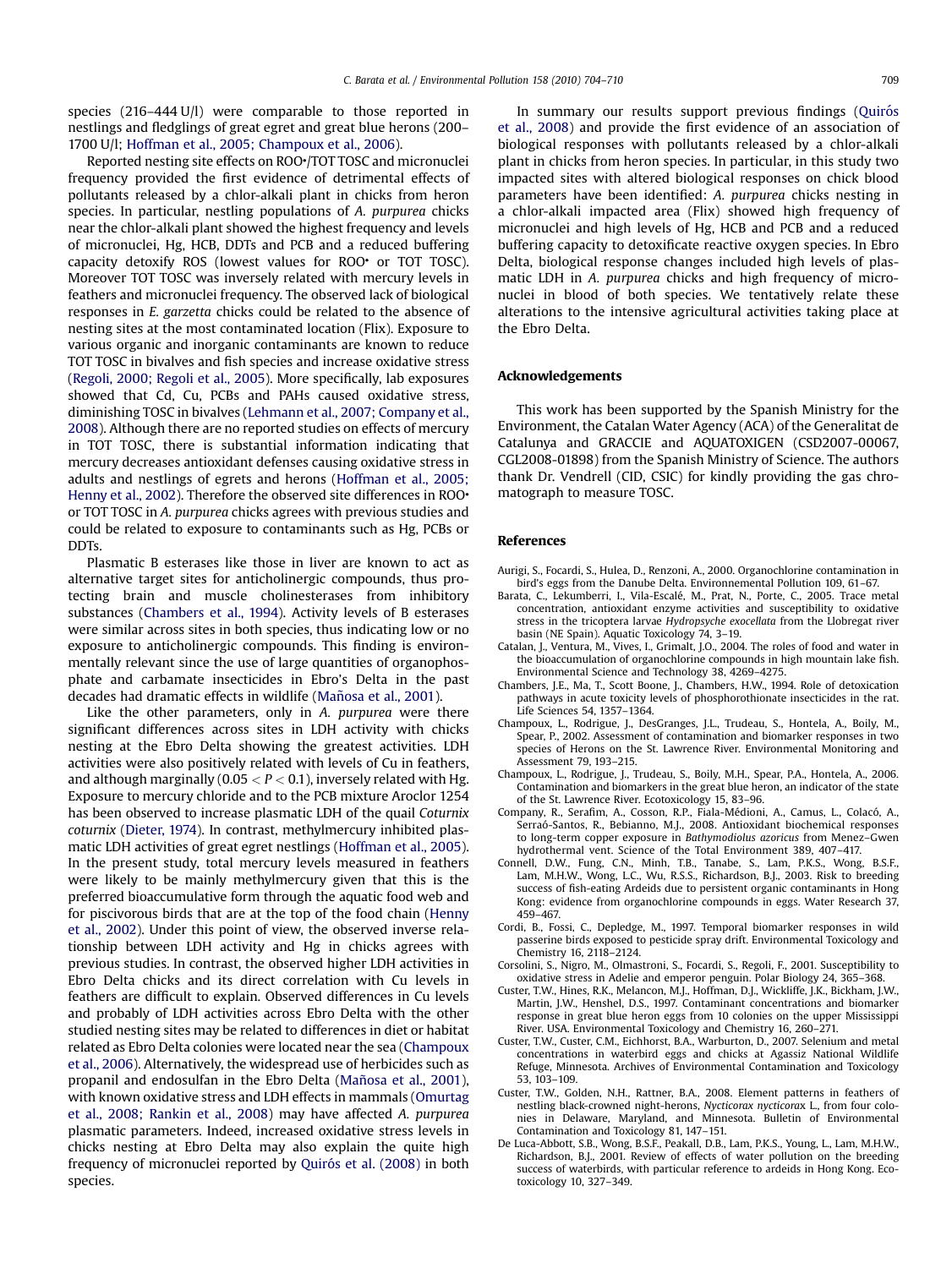<span id="page-5-0"></span>species (216–444 U/l) were comparable to those reported in nestlings and fledglings of great egret and great blue herons (200– 1700 U/l; [Hoffman et al., 2005; Champoux et al., 2006](#page-6-0)).

Reported nesting site effects on ROO•/TOT TOSC and micronuclei frequency provided the first evidence of detrimental effects of pollutants released by a chlor-alkali plant in chicks from heron species. In particular, nestling populations of A. purpurea chicks near the chlor-alkali plant showed the highest frequency and levels of micronuclei, Hg, HCB, DDTs and PCB and a reduced buffering capacity detoxify ROS (lowest values for ROO• or TOT TOSC). Moreover TOT TOSC was inversely related with mercury levels in feathers and micronuclei frequency. The observed lack of biological responses in E. garzetta chicks could be related to the absence of nesting sites at the most contaminated location (Flix). Exposure to various organic and inorganic contaminants are known to reduce TOT TOSC in bivalves and fish species and increase oxidative stress ([Regoli, 2000; Regoli et al., 2005\)](#page-6-0). More specifically, lab exposures showed that Cd, Cu, PCBs and PAHs caused oxidative stress, diminishing TOSC in bivalves [\(Lehmann et al., 2007; Company et al.,](#page-6-0) [2008\)](#page-6-0). Although there are no reported studies on effects of mercury in TOT TOSC, there is substantial information indicating that mercury decreases antioxidant defenses causing oxidative stress in adults and nestlings of egrets and herons ([Hoffman et al., 2005;](#page-6-0) [Henny et al., 2002](#page-6-0)). Therefore the observed site differences in ROO. or TOT TOSC in A. purpurea chicks agrees with previous studies and could be related to exposure to contaminants such as Hg, PCBs or DDTs.

Plasmatic B esterases like those in liver are known to act as alternative target sites for anticholinergic compounds, thus protecting brain and muscle cholinesterases from inhibitory substances (Chambers et al., 1994). Activity levels of B esterases were similar across sites in both species, thus indicating low or no exposure to anticholinergic compounds. This finding is environmentally relevant since the use of large quantities of organophosphate and carbamate insecticides in Ebro's Delta in the past decades had dramatic effects in wildlife (Mañosa et al., 2001).

Like the other parameters, only in A. *purpurea* were there significant differences across sites in LDH activity with chicks nesting at the Ebro Delta showing the greatest activities. LDH activities were also positively related with levels of Cu in feathers, and although marginally (0.05  $<$  P  $<$  0.1), inversely related with Hg. Exposure to mercury chloride and to the PCB mixture Aroclor 1254 has been observed to increase plasmatic LDH of the quail Coturnix coturnix ([Dieter, 1974](#page-6-0)). In contrast, methylmercury inhibited plasmatic LDH activities of great egret nestlings ([Hoffman et al., 2005\)](#page-6-0). In the present study, total mercury levels measured in feathers were likely to be mainly methylmercury given that this is the preferred bioaccumulative form through the aquatic food web and for piscivorous birds that are at the top of the food chain ([Henny](#page-6-0) [et al., 2002\)](#page-6-0). Under this point of view, the observed inverse relationship between LDH activity and Hg in chicks agrees with previous studies. In contrast, the observed higher LDH activities in Ebro Delta chicks and its direct correlation with Cu levels in feathers are difficult to explain. Observed differences in Cu levels and probably of LDH activities across Ebro Delta with the other studied nesting sites may be related to differences in diet or habitat related as Ebro Delta colonies were located near the sea (Champoux et al., 2006). Alternatively, the widespread use of herbicides such as propanil and endosulfan in the Ebro Delta (Mañosa et al., 2001), with known oxidative stress and LDH effects in mammals [\(Omurtag](#page-6-0) [et al., 2008; Rankin et al., 2008\)](#page-6-0) may have affected A. purpurea plasmatic parameters. Indeed, increased oxidative stress levels in chicks nesting at Ebro Delta may also explain the quite high frequency of micronuclei reported by Quiró[s et al. \(2008\)](#page-6-0) in both species.

In summary our results support previous findings (Quirós [et al., 2008](#page-6-0)) and provide the first evidence of an association of biological responses with pollutants released by a chlor-alkali plant in chicks from heron species. In particular, in this study two impacted sites with altered biological responses on chick blood parameters have been identified: A. purpurea chicks nesting in a chlor-alkali impacted area (Flix) showed high frequency of micronuclei and high levels of Hg, HCB and PCB and a reduced buffering capacity to detoxificate reactive oxygen species. In Ebro Delta, biological response changes included high levels of plasmatic LDH in A. purpurea chicks and high frequency of micronuclei in blood of both species. We tentatively relate these alterations to the intensive agricultural activities taking place at the Ebro Delta.

## Acknowledgements

This work has been supported by the Spanish Ministry for the Environment, the Catalan Water Agency (ACA) of the Generalitat de Catalunya and GRACCIE and AQUATOXIGEN (CSD2007-00067, CGL2008-01898) from the Spanish Ministry of Science. The authors thank Dr. Vendrell (CID, CSIC) for kindly providing the gas chromatograph to measure TOSC.

#### References

- Aurigi, S., Focardi, S., Hulea, D., Renzoni, A., 2000. Organochlorine contamination in bird's eggs from the Danube Delta. Environnemental Pollution 109, 61–67.
- Barata, C., Lekumberri, I., Vila-Escalé, M., Prat, N., Porte, C., 2005. Trace metal concentration, antioxidant enzyme activities and susceptibility to oxidative stress in the tricoptera larvae Hydropsyche exocellata from the Llobregat river basin (NE Spain). Aquatic Toxicology 74, 3–19.
- Catalan, J., Ventura, M., Vives, I., Grimalt, J.O., 2004. The roles of food and water in the bioaccumulation of organochlorine compounds in high mountain lake fish. Environmental Science and Technology 38, 4269–4275.
- Chambers, J.E., Ma, T., Scott Boone, J., Chambers, H.W., 1994. Role of detoxication pathways in acute toxicity levels of phosphorothionate insecticides in the rat. Life Sciences 54, 1357–1364.
- Champoux, L., Rodrigue, J., DesGranges, J.L., Trudeau, S., Hontela, A., Boily, M., Spear, P., 2002. Assessment of contamination and biomarker responses in two species of Herons on the St. Lawrence River. Environmental Monitoring and Assessment 79, 193–215.
- Champoux, L., Rodrigue, J., Trudeau, S., Boily, M.H., Spear, P.A., Hontela, A., 2006. Contamination and biomarkers in the great blue heron, an indicator of the state of the St. Lawrence River. Ecotoxicology 15, 83–96.
- Company, R., Serafim, A., Cosson, R.P., Fiala-Médioni, A., Camus, L., Colacó, A., Serraó-Santos, R., Bebianno, M.J., 2008. Antioxidant biochemical responses to long-term copper exposure in Bathymodiolus azoricus from Menez–Gwen hydrothermal vent. Science of the Total Environment 389, 407–417.
- Connell, D.W., Fung, C.N., Minh, T.B., Tanabe, S., Lam, P.K.S., Wong, B.S.F., Lam, M.H.W., Wong, L.C., Wu, R.S.S., Richardson, B.J., 2003. Risk to breeding success of fish-eating Ardeids due to persistent organic contaminants in Hong Kong: evidence from organochlorine compounds in eggs. Water Research 37, 459–467.
- Cordi, B., Fossi, C., Depledge, M., 1997. Temporal biomarker responses in wild passerine birds exposed to pesticide spray drift. Environmental Toxicology and Chemistry 16, 2118–2124.
- Corsolini, S., Nigro, M., Olmastroni, S., Focardi, S., Regoli, F., 2001. Susceptibility to oxidative stress in Adelie and emperor penguin. Polar Biology 24, 365–368.
- Custer, T.W., Hines, R.K., Melancon, M.J., Hoffman, D.J., Wickliffe, J.K., Bickham, J.W., Martin, J.W., Henshel, D.S., 1997. Contaminant concentrations and biomarker response in great blue heron eggs from 10 colonies on the upper Mississippi River. USA. Environmental Toxicology and Chemistry 16, 260–271.
- Custer, T.W., Custer, C.M., Eichhorst, B.A., Warburton, D., 2007. Selenium and metal concentrations in waterbird eggs and chicks at Agassiz National Wildlife Refuge, Minnesota. Archives of Environmental Contamination and Toxicology 53, 103–109.
- Custer, T.W., Golden, N.H., Rattner, B.A., 2008. Element patterns in feathers of nestling black-crowned night-herons, Nycticorax nycticorax L., from four colonies in Delaware, Maryland, and Minnesota. Bulletin of Environmental Contamination and Toxicology 81, 147–151.
- De Luca-Abbott, S.B., Wong, B.S.F., Peakall, D.B., Lam, P.K.S., Young, L., Lam, M.H.W., Richardson, B.J., 2001. Review of effects of water pollution on the breeding success of waterbirds, with particular reference to ardeids in Hong Kong. Ecotoxicology 10, 327–349.